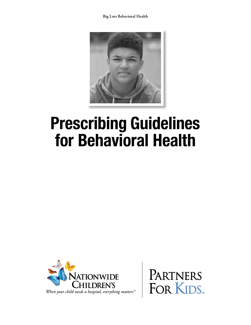

# Prescribing Guidelines for Behavioral Health



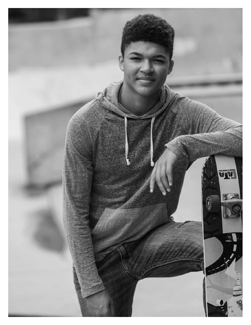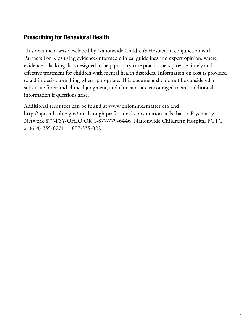#### Prescribing for Behavioral Health

This document was developed by Nationwide Children's Hospital in conjunction with Partners For Kids using evidence-informed clinical guidelines and expert opinion, where evidence is lacking. It is designed to help primary care practitioners provide timely and effective treatment for children with mental health disorders. Information on cost is provided to aid in decision-making when appropriate. This document should not be considered a substitute for sound clinical judgment, and clinicians are encouraged to seek additional information if questions arise.

Additional resources can be found at www.ohiomindsmatter.org and http://ppn.mh.ohio.gov/ or through professional consultation at Pediatric Psychiatry Network 877-PSY-OHIO OR 1-877-779-6446, Nationwide Children's Hospital PCTC at (614) 355-0221 or 877-335-0221.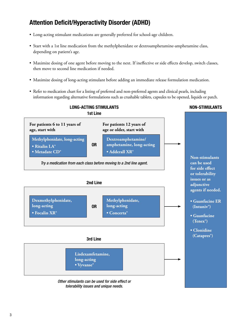## Attention Deficit/Hyperactivity Disorder (ADHD)

- Long-acting stimulant medications are generally preferred for school-age children.
- Start with a 1st line medication from the methylphenidate or dextroamphetamine-amphetamine class, depending on patient's age.
- Maximize dosing of one agent before moving to the next. If ineffective or side effects develop, switch classes, then move to second line medication if needed.
- Maximize dosing of long-acting stimulant before adding an immediate release formulation medication.
- Refer to medication chart for a listing of preferred and non-preferred agents and clinical pearls, including information regarding alternative formulations such as crushable tablets, capsules to be opened, liquids or patch.

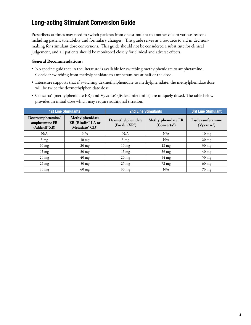#### Long-acting Stimulant Conversion Guide

Prescribers at times may need to switch patients from one stimulant to another due to various reasons including patient tolerability and formulary changes. This guide serves as a resource to aid in decisionmaking for stimulant dose conversions. This guide should not be considered a substitute for clinical judgement, and all patients should be monitored closely for clinical and adverse effects.

#### **General Recommendations:**

- No specific guidance in the literature is available for switching methylphenidate to amphetamine. Consider switching from methylphenidate to amphetamines at half of the dose.
- Literature supports that if switching dexmethylphenidate to methylphenidate, the methylphenidate dose will be twice the dexmethylphenidate dose.
- Concerta® (methylphenidate ER) and Vyvanse® (lisdexamfetamine) are uniquely dosed. The table below provides an initial dose which may require additional titration.

|                                                                    | <b>1st Line Stimulants</b>                             | <b>2nd Line Stimulants</b>                    | <b>3rd Line Stimulant</b>                      |                                |
|--------------------------------------------------------------------|--------------------------------------------------------|-----------------------------------------------|------------------------------------------------|--------------------------------|
| Dextroamphetamine/<br>amphetamine ER<br>(Adderall <sup>®</sup> XR) | Methylphenidate<br>ER (Ritalin® LA or<br>Metadate® CD) | Dexmethylphenidate<br>(Focalin $XR^{\circ}$ ) | Methylphenidate ER<br>(Concerta <sup>®</sup> ) | Lisdexamfetamine<br>(Vyvanse®) |
| N/A                                                                | N/A                                                    | N/A                                           | N/A                                            | $10 \text{ mg}$                |
| $5 \text{ mg}$                                                     | $10 \text{ mg}$                                        | $5 \text{ mg}$                                | N/A                                            | $20 \text{ mg}$                |
| $10 \text{ mg}$                                                    | $20 \text{ mg}$                                        | $10 \text{ mg}$                               | $18 \text{ mg}$                                | $30 \text{ mg}$                |
| $15 \text{ mg}$                                                    | $30 \text{ mg}$                                        | $15 \text{ mg}$                               | $36$ mg                                        | $40 \text{ mg}$                |
| $20 \text{ mg}$                                                    | $40 \text{ mg}$                                        | $20 \text{ mg}$                               | $54 \text{ mg}$                                | $50$ mg                        |
| $25 \text{ mg}$                                                    | $50 \text{ mg}$                                        | $25 \text{ mg}$                               | $72 \text{ mg}$                                | $60 \text{ mg}$                |
| $30 \text{ mg}$                                                    | $60 \text{ mg}$                                        | $30 \text{ mg}$                               | N/A                                            | $70 \text{ mg}$                |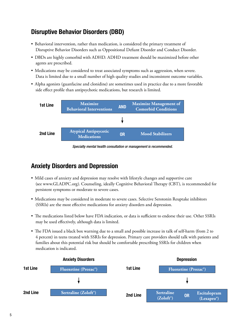### Disruptive Behavior Disorders (DBD)

- Behavioral intervention, rather than medication, is considered the primary treatment of Disruptive Behavior Disorders such as Oppositional Defiant Disorder and Conduct Disorder.
- DBDs are highly comorbid with ADHD. ADHD treatment should be maximized before other agents are prescribed.
- Medications may be considered to treat associated symptoms such as aggression, when severe. Data is limited due to a small number of high quality studies and inconsistent outcome variables.
- Alpha agonists (guanfacine and clonidine) are sometimes used in practice due to a more favorable side effect profile than antipsychotic medications, but research is limited.



*Specialty mental health consultation or management is recommended.*

### Anxiety Disorders and Depression

- Mild cases of anxiety and depression may resolve with lifestyle changes and supportive care (see www.GLADPC.org). Counseling, ideally Cognitive Behavioral Therapy (CBT), is recommended for persistent symptoms or moderate to severe cases.
- Medications may be considered in moderate to severe cases. Selective Serotonin Reuptake inhibitors (SSRIs) are the most effective medications for anxiety disorders and depression.
- The medications listed below have FDA indication, or data is sufficient to endorse their use. Other SSRIs may be used effectively, although data is limited.
- The FDA issued a black box warning due to a small and possible increase in talk of self-harm (from 2 to 4 percent) in teens treated with SSRIs for depression. Primary care providers should talk with patients and families about this potential risk but should be comfortable prescribing SSRIs for children when medication is indicated.

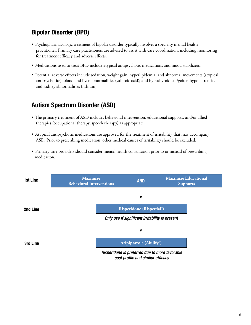### Bipolar Disorder (BPD)

- Psychopharmacologic treatment of bipolar disorder typically involves a specialty mental health practitioner. Primary care practitioners are advised to assist with care coordination, including monitoring for treatment efficacy and adverse effects.
- Medications used to treat BPD include atypical antipsychotic medications and mood stabilizers.
- Potential adverse effects include sedation, weight gain, hyperlipidemia, and abnormal movements (atypical antipsychotics); blood and liver abnormalities (valproic acid); and hypothyroidism/goiter, hyponatremia, and kidney abnormalities (lithium).

#### Autism Spectrum Disorder (ASD)

- The primary treatment of ASD includes behavioral intervention, educational supports, and/or allied therapies (occupational therapy, speech therapy) as appropriate.
- Atypical antipsychotic medications are approved for the treatment of irritability that may accompany ASD. Prior to prescribing medication, other medical causes of irritability should be excluded.
- Primary care providers should consider mental health consultation prior to or instead of prescribing medication.

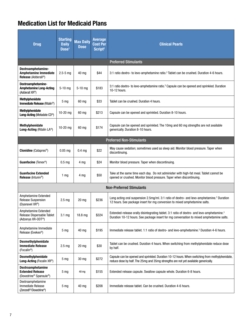## Medication List for Medicaid Plans

| <b>Drug</b>                                                                          | <b>Starting</b><br><b>Daily</b><br>Dose <sup>1</sup> | <b>Max Daily</b><br><b>Dose</b> | <b>Average</b><br><b>Cost Per</b><br>Script <sup>2</sup> | <b>Clinical Pearls</b>                                                                                                                                                                             |  |  |
|--------------------------------------------------------------------------------------|------------------------------------------------------|---------------------------------|----------------------------------------------------------|----------------------------------------------------------------------------------------------------------------------------------------------------------------------------------------------------|--|--|
|                                                                                      |                                                      |                                 |                                                          | <b>Preferred Stimulants</b>                                                                                                                                                                        |  |  |
| Dextroamphetamine-<br><b>Amphetamine Immediate</b><br>Release (Adderall®)            | $2.5 - 5$ mg                                         | $40$ mg                         | \$44                                                     | 3:1 ratio dextro- to levo-amphetamine ratio. <sup>3</sup> Tablet can be crushed. Duration 4-6 hours.                                                                                               |  |  |
| Dextroamphetamine-<br><b>Amphetamine Long-Acting</b><br>(Adderall XR®)               | $5-10$ mg                                            | $5-10$ mg                       | \$183                                                    | 3:1 ratio dextro- to levo-amphetamine ratio. <sup>3</sup> Capsule can be opened and sprinkled. Duration<br>10-12 hours.                                                                            |  |  |
| Methylphenidate<br>Immediate Release (Ritalin <sup>®</sup> )                         | 5 <sub>mg</sub>                                      | 60 <sub>mg</sub>                | \$33                                                     | Tablet can be crushed. Duration 4 hours.                                                                                                                                                           |  |  |
| Methylphenidate<br>Long-Acting (Metadate CD®)                                        | $10-20$ mg                                           | 60 mg                           | \$213                                                    | Capsule can be opened and sprinkled. Duration 8-10 hours.                                                                                                                                          |  |  |
| Methylphenidate<br>Long-Acting (Ritalin LA®)                                         | $10-20$ mg                                           | 60 mg                           | \$174                                                    | Capsule can be opened and sprinkled. The 10mg and 60 mg strengths are not available<br>generically. Duration 8-10 hours.                                                                           |  |  |
| <b>Preferred Non-Stimulants</b>                                                      |                                                      |                                 |                                                          |                                                                                                                                                                                                    |  |  |
| <b>Clonidine</b> (Catapres <sup>®</sup> )                                            | $0.05$ mg                                            | 0.4 <sub>mg</sub>               | \$22                                                     | May cause sedation; sometimes used as sleep aid. Monitor blood pressure. Taper when<br>discontinuing.                                                                                              |  |  |
| Guanfacine (Tenex <sup>®</sup> )                                                     | 0.5 <sub>mg</sub>                                    | 4 mg                            | \$24                                                     | Monitor blood pressure. Taper when discontinuing.                                                                                                                                                  |  |  |
| <b>Guanfacine Extended</b><br><b>Release</b> (Intuniv <sup>®</sup> )                 | 1 mg                                                 | 4 mg                            | \$50                                                     | Take at the same time each day. Do not administer with high-fat meal. Tablet cannot be<br>opened or crushed. Monitor blood pressure. Taper when discontinuing.                                     |  |  |
| <b>Non-Preferred Stimulants</b>                                                      |                                                      |                                 |                                                          |                                                                                                                                                                                                    |  |  |
| Amphetamine Extended<br><b>Release Suspension</b><br>(Dyanavel XR®)                  | 2.5 <sub>mg</sub>                                    | 20 <sub>mg</sub>                | \$236                                                    | Long acting oral suspension 2.5mg/ml. 3:1 ratio of dextro- and levo-amphetamine. <sup>3</sup> Duration<br>12 hours. See package insert for mg conversion to mixed amphetamine salts.               |  |  |
| Amphetamine Extended<br>Release Dispersable Tablet<br>(Adzenys XR-ODT <sup>®</sup> ) | 3.1 <sub>mg</sub>                                    | 18.8 <sub>mg</sub>              | \$324                                                    | Extended-release orally disintegrating tablet. 3:1 ratio of dextro- and levo-amphetamine. <sup>3</sup><br>Duration 10-12 hours. See package insert for mg conversation to mixed amphetamine salts. |  |  |
| Amphetamine Immediate<br>Release (Evekeo <sup>®</sup> )                              | 5 <sub>mg</sub>                                      | 40 mg                           | \$195                                                    | Immediate release tablet. 1:1 ratio of dextro- and levo-amphetamine. <sup>3</sup> Duration 4-6 hours.                                                                                              |  |  |
| Dexmethylphenidate<br><b>Immediate Release</b><br>(Focalin <sup>®</sup> )            | 2.5 <sub>mg</sub>                                    | 20 <sub>mg</sub>                | \$30                                                     | Tablet can be crushed. Duration 4 hours. When switching from methylphenidate reduce dose<br>by half.                                                                                               |  |  |
| Dexmethylphenidate<br>Long-Acting (Focalin XR®)                                      | 5 <sub>mg</sub>                                      | 30 <sub>mg</sub>                | \$272                                                    | Capsule can be opened and sprinkled. Duration 10-12 hours. When switching from methylphenidate,<br>reduce dose by half. The 25mg and 35mg strengths are not yet available generically.             |  |  |
| Dextroamphetamine<br><b>Extended Release</b><br>(Dexedrine® Spansule®)               | 5 <sub>mg</sub>                                      | 40 mg                           | \$155                                                    | Extended release capsule. Swallow capsule whole. Duration 6-8 hours.                                                                                                                               |  |  |
| Dextroamphetamine<br>Immediate Release<br>(Zenzedi®/Dexedrine®)                      | 5 <sub>mg</sub>                                      | 40 mg                           | \$208                                                    | Immediate release tablet. Can be crushed. Duration 4-6 hours.                                                                                                                                      |  |  |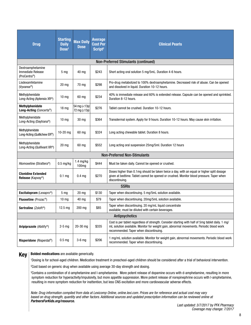| <b>Drug</b>                                                        | <b>Starting</b><br><b>Daily</b><br>Dose <sup>1</sup> | <b>Max Daily</b><br><b>Dose</b> | <b>Average</b><br><b>Cost Per</b><br>Script <sup>2</sup> | <b>Clinical Pearls</b>                                                                                                                                                                                                                 |  |  |  |
|--------------------------------------------------------------------|------------------------------------------------------|---------------------------------|----------------------------------------------------------|----------------------------------------------------------------------------------------------------------------------------------------------------------------------------------------------------------------------------------------|--|--|--|
| Non-Preferred Stimulants (continued)                               |                                                      |                                 |                                                          |                                                                                                                                                                                                                                        |  |  |  |
| Dextroamphetamine<br>Immediate Release<br>(ProCentra®)             | 5 <sub>mg</sub>                                      | 40 mg                           | \$243                                                    | Short acting oral solution 5 mg/5mL. Duration 4-6 hours.                                                                                                                                                                               |  |  |  |
| Lisdexamfetamine<br>(Vyvanse <sup>®</sup> )                        | 20 <sub>mg</sub>                                     | 70 mg                           | \$298                                                    | Pro-drug metabolized to 100% dextroamphetamine. Decreased risk of abuse. Can be opened<br>and dissolved in liquid. Duration 10-12 hours.                                                                                               |  |  |  |
| Methylphenidate<br>Long-Acting (Aptensio XR®)                      | 10 <sub>mg</sub>                                     | 60 mg                           | \$234                                                    | 40% is immediate release and 60% is extended release. Capsule can be opened and sprinkled.<br>Duration 8-12 hours.                                                                                                                     |  |  |  |
| Methylphenidate<br>Long-Acting (Concerta®)                         | 18 mg                                                | 54 mg (<13y)<br>72 mg (≥13y)    | \$276                                                    | Tablet cannot be crushed. Duration 10-12 hours.                                                                                                                                                                                        |  |  |  |
| Methylphenidate<br>Long-Acting (Daytrana <sup>®</sup> )            | 10 <sub>mg</sub>                                     | 30 <sub>mg</sub>                | \$364                                                    | Transdermal system. Apply for 9 hours. Duration 10-12 hours. May cause skin irritation.                                                                                                                                                |  |  |  |
| Methylphenidate<br>Long-Acting (Quillichew ER®)                    | $10-20$ mg                                           | 60 mg                           | \$324                                                    | Long acting chewable tablet. Duration 8 hours.                                                                                                                                                                                         |  |  |  |
| Methylphenidate<br>Long-Acting (Quillivant XR®)                    | 20 mg                                                | 60 mg                           | \$552                                                    | Long acting oral suspension 25mg/5ml. Duration 12 hours                                                                                                                                                                                |  |  |  |
| <b>Non-Preferred Non-Stimulants</b>                                |                                                      |                                 |                                                          |                                                                                                                                                                                                                                        |  |  |  |
| Atomoxetine (Strattera®)                                           | $0.5$ mg/kg                                          | $1.4$ mg/kg<br>100mg            | \$444                                                    | Must be taken daily. Cannot be opened or crushed.                                                                                                                                                                                      |  |  |  |
| <b>Clonidine Extended</b><br><b>Release</b> (Kapvay <sup>®</sup> ) | 0.1 <sub>mg</sub>                                    | 0.4 <sub>mg</sub>               | \$270                                                    | Doses higher than 0.1mg should be taken twice a day, with an equal or higher split dosage<br>given at bedtime. Tablet cannot be opened or crushed. Monitor blood pressure. Taper when<br>discontinuing.                                |  |  |  |
| <b>SSRIS</b>                                                       |                                                      |                                 |                                                          |                                                                                                                                                                                                                                        |  |  |  |
| <b>Escitalopram</b> (Lexapro <sup>®</sup> )                        | 5 <sub>mg</sub>                                      | 20 <sub>mg</sub>                | \$130                                                    | Taper when discontinuing. 5 mg/5mL solution available.                                                                                                                                                                                 |  |  |  |
| <b>Fluoxetine</b> (Prozac <sup>®</sup> )                           | 10 <sub>mg</sub>                                     | 40 mg                           | \$79                                                     | Taper when discontinuing. 20mg/5mL solution available.                                                                                                                                                                                 |  |  |  |
| <b>Sertraline</b> (Zoloft <sup>®</sup> )                           | $12.5 \text{ mg}$                                    | $200$ mg                        | \$85                                                     | Taper when discontinuing. 20 mg/mL liquid concentrate<br>available; must be diluted with certain beverages.                                                                                                                            |  |  |  |
| <b>Antipsychotics</b>                                              |                                                      |                                 |                                                          |                                                                                                                                                                                                                                        |  |  |  |
| Aripiprazole (Abilify®)                                            | $2-5$ mg                                             | 20-30 mg                        | \$335                                                    | Cost is per tablet regardless of strength. Consider starting with half of 5mg tablet daily. 1 mg/<br>mL solution available. Monitor for weight gain, abnormal movements. Periodic blood work<br>recommended. Taper when discontinuing. |  |  |  |
| Risperidone (Risperdal®)                                           | 0.5 <sub>mg</sub>                                    | $3-6$ mg                        | \$206                                                    | 1 mg/mL solution available. Monitor for weight gain, abnormal movements. Periodic blood work<br>recommended. Taper when discontinuing.                                                                                                 |  |  |  |

#### $Key$   $B$ olded medications are available generically.

1 Dosing is for school-aged children. Medication treatment in preschool-aged children should be considered after a trial of behavioral intervention.

2 Cost based on generic drug when available using average 30-day strength and dosing.

3 Contains a combination of d-amphetamine and l-amphetamine. More potent release of dopamine occurs with d-amphetamine, resulting in more symptom reduction for hyperactivity/impulsivity, but more appetite suppression. More potent release of norepinephrine occurs with l-amphetamine, resulting in more symptom reduction for inattention, but less CNS excitation and more cardiovascular adverse effects.

*Note: Drug information compiled from data at Lexicomp Online, online.lexi.com. Prices are for reference and actual cost may vary based on drug strength, quantity and other factors. Additional sources and updated prescription information can be reviewed online at PartnersForKids.org/resource.*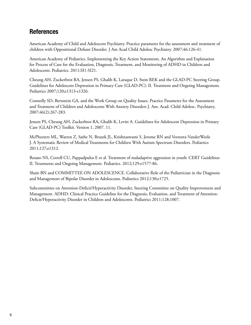#### **References**

American Academy of Child and Adolescent Psychiatry. Practice parameter for the assessment and treatment of children with Oppositional Defiant Disorder. J Am Acad Child Adolesc Psychiatry. 2007;46:126-41.

American Academy of Pediatrics. Implementing the Key Action Statements. An Algorithm and Explanation for Process of Care for the Evaluation, Diagnosis, Treatment, and Monitoring of ADHD in Children and Adolescents. Pediatrics. 2011;SI1-SI21.

Cheung AH, Zuckerbrot RA, Jensen PS, Ghalib K, Laraque D, Stein REK and the GLAD-PC Steering Group. Guidelines for Adolescent Depression in Primary Care (GLAD-PC): II. Treatment and Ongoing Management. Pediatrics 2007;120;e1313-e1326.

Connolly SD, Bernstein GA, and the Work Group on Quality Issues. Practice Parameter for the Assessment and Treatment of Children and Adolescents With Anxiety Disorders J. Am. Acad. Child Adolesc. Psychiatry, 2007;46(2):267-283.

Jensen PS, Cheung AH, Zuckerbrot RA, Ghalib K, Levitt A. Guidelines for Adolescent Depression in Primary Care (GLAD-PC) Toolkit. Version 1, 2007. 11.

McPheeters ML, Warren Z, Sathe N, Bruzek JL, Krishnaswami S, Jerome RN and Veenstra-VanderWeele J. A Systematic Review of Medical Treatments for Children With Autism Spectrum Disorders. Pediatrics 2011;127;e1312.

Rosato NS, Correll CU, Pappadpulos E et al. Treatment of maladaptive aggression in youth: CERT Guidelines II. Treatments and Ongoing Management. Pediatrics. 2012;129:e1577-86.

Shain BN and COMMITTEE ON ADOLESCENCE. Collaborative Role of the Pediatrician in the Diagnosis and Management of Bipolar Disorder in Adolescents. Pediatrics 2012;130;e1725.

Subcommittee on Attention-Deficit/Hyperactivity Disorder, Steering Committee on Quality Improvement and Management. ADHD: Clinical Practice Guideline for the Diagnosis, Evaluation, and Treatment of Attention-Deficit/Hyperactivity Disorder in Children and Adolescents. Pediatrics 2011;128;1007.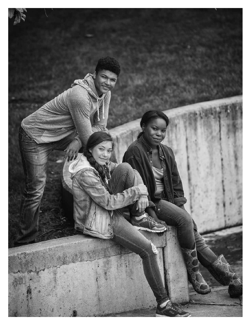